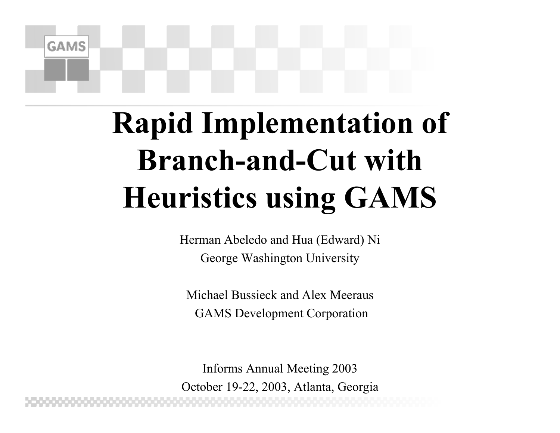# **Rapid Implementation of Branch-and-Cut with Heuristics using GAMS**

**GAMS** 

Herman Abeledo and Hua (Edward) Ni George Washington University

Michael Bussieck and Alex MeerausGAMS Development Corporation

Informs Annual Meeting 2003 October 19-22, 2003, Atlanta, Georgia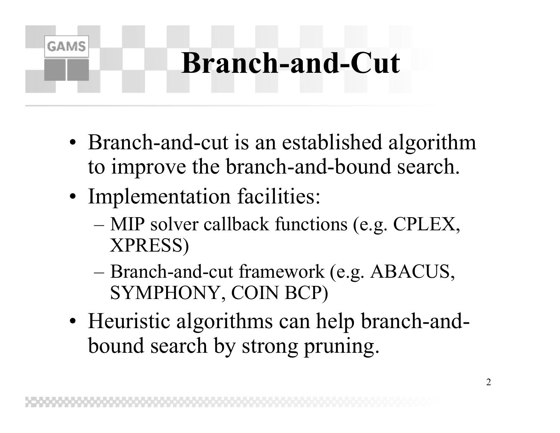# **Branch-and-Cut**

- •• Branch-and-cut is an established algorithm to improve the branch-and-bound search.
- •• Implementation facilities:

- MIP solver callback functions (e.g. CPLEX, XPRESS)
- Branch-and-cut framework (e.g. ABACUS, SYMPHONY, COIN BCP)
- • Heuristic algorithms can help branch-andbound search by strong pruning.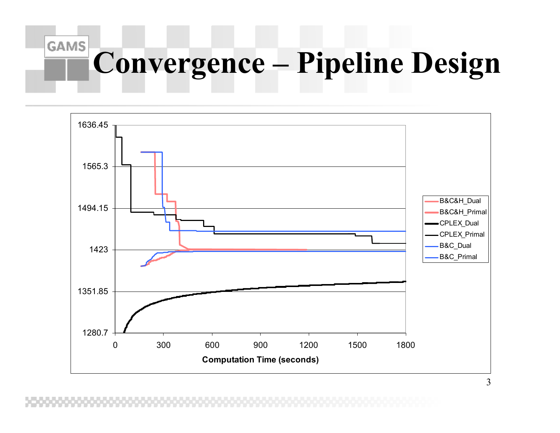### **GAMS Convergence – Pipeline Design**

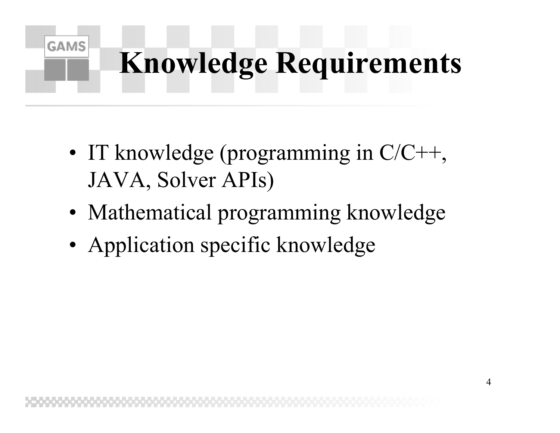# **Knowledge Requirements**

- •• IT knowledge (programming in C/C++, JAVA, Solver APIs)
- •• Mathematical programming knowledge
- •• Application specific knowledge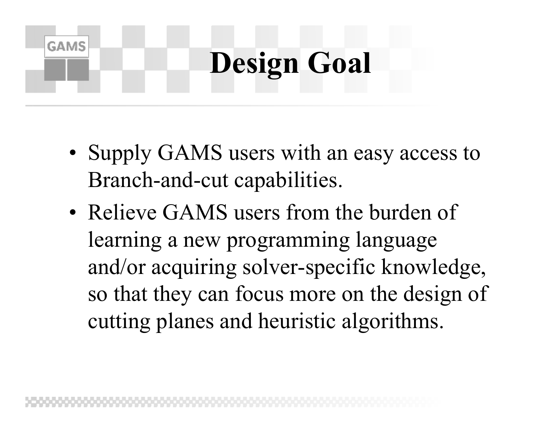# **Design Goal**

- •• Supply GAMS users with an easy access to Branch-and-cut capabilities.
- Relieve GAMS users from the burden of learning a new programming language and/or acquiring solver-specific knowledge, so that they can focus more on the design of cutting planes and heuristic algorithms.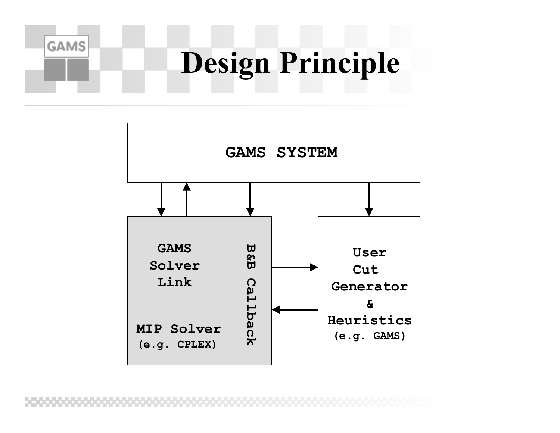# **Design Principle**

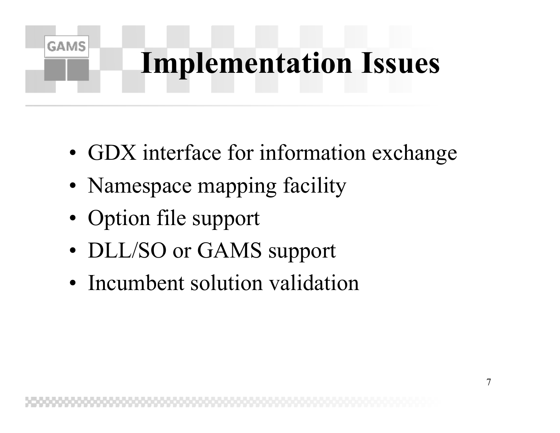# **Implementation Issues**

- •• GDX interface for information exchange
- •• Namespace mapping facility
- •• Option file support

- •• DLL/SO or GAMS support
- Incumbent solution validation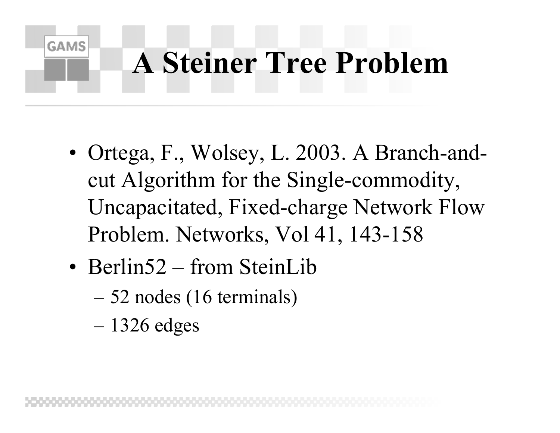# **A Steiner Tree Problem**

- • Ortega, F., Wolsey, L. 2003. A Branch-andcut Algorithm for the Single-commodity, Uncapacitated, Fixed-charge Network Flow Problem. Networks, Vol 41, 143-158
- Berlin52 from SteinLib
	- 52 nodes (16 terminals)
	- 1326 edges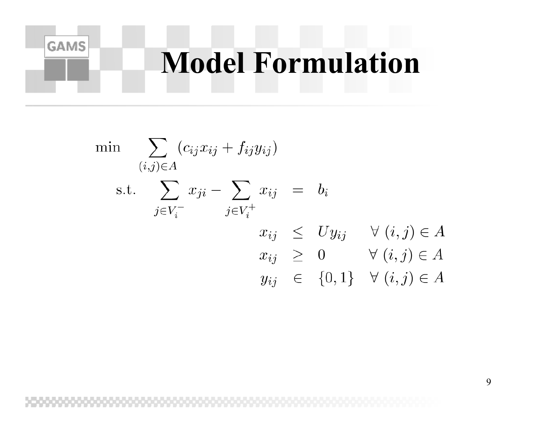### **Model Formulation**

$$
\begin{aligned}\n\min \quad & \sum_{(i,j)\in A} (c_{ij}x_{ij} + f_{ij}y_{ij}) \\
\text{s.t.} \quad & \sum_{j\in V_i^-} x_{ji} - \sum_{j\in V_i^+} x_{ij} = b_i \\
& x_{ij} \leq Uy_{ij} \quad \forall (i,j)\in A \\
& x_{ij} \geq 0 \quad \forall (i,j)\in A \\
& y_{ij} \in \{0,1\} \quad \forall (i,j)\in A\n\end{aligned}
$$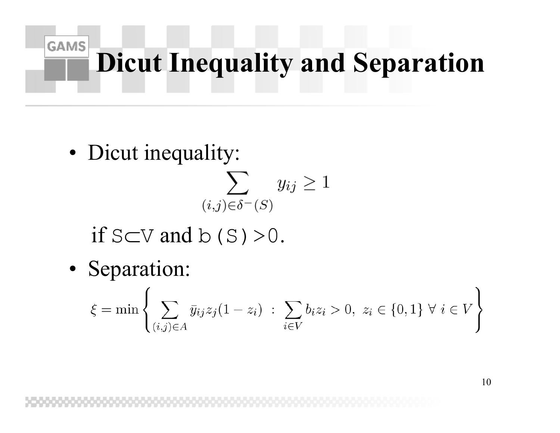# **Dicut Inequality and Separation**

• Dicut inequality:

 $\sum y_{ij} \geq 1$  $(i,j)\in\delta^-(S)$ if S $\subset$ V and b (S) >0.

• Separation:

$$
\xi = \min \left\{ \sum_{(i,j)\in A} \bar{y}_{ij} z_j (1-z_i) \; : \; \sum_{i\in V} b_i z_i > 0, \; z_i \in \{0,1\} \; \forall \; i \in V \right\}
$$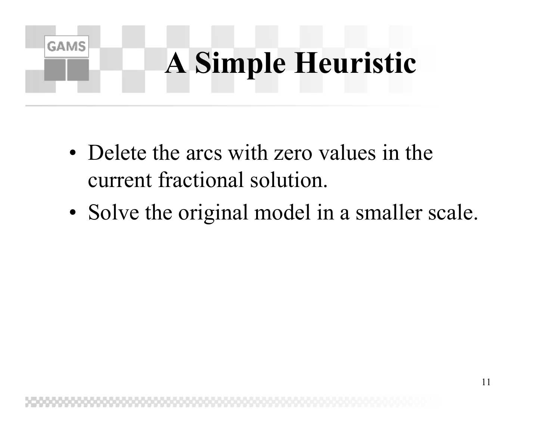# **A Simple Heuristic**

• Delete the arcs with zero values in the current fractional solution.

**GAMS** 

•• Solve the original model in a smaller scale.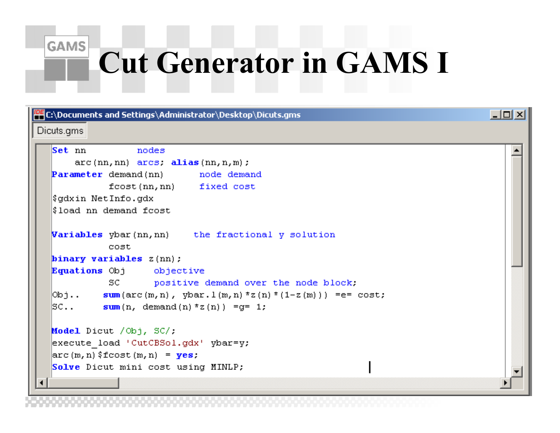# **Cut Generator in GAMS I**

**GAMS** 

**PEC:\Documents and Settings\Administrator\Desktop\Dicuts.gms**  $| \Box |$ Dicuts.gms Set nn nodes  $arc(nn, nn)$   $arcs.$  alias  $(nn, n, m)$ ; Parameter demand (nn) node demand fcost (nn, nn) fixed cost Şqdxin NetInfo.qdx  $\mathop{\textsf{S}}\nolimits$  load  $\mathop{\textsf{nn}}\nolimits$  demand f $\mathop{\textsf{cost}}\nolimits$ **Variables** ybar(nn, nn) the fractional y solution cost. binary variables  $z$ (nn); Equations Obj objective SC positive demand over the node block.  $\boxed{\text{Obj.}}$  sum (arc (m, n), ybar. 1 (m, n) \*z (n) \* (1-z (m))) = e = cost;  $|\text{SC.}$ .  $\text{sum}(n, \text{ demand}(n) * z(n))| = q = 1;$ Model Dicut / Obj, SC/: execute load 'CutCBSol.gdx' vbar=v;  $\left|\arctan\left(m,n\right)\right|$  (figure  $\left(m,n\right)$  =  $\left|\mathbf{yes}\right|$ ) Solve Dicut mini cost using MINLP;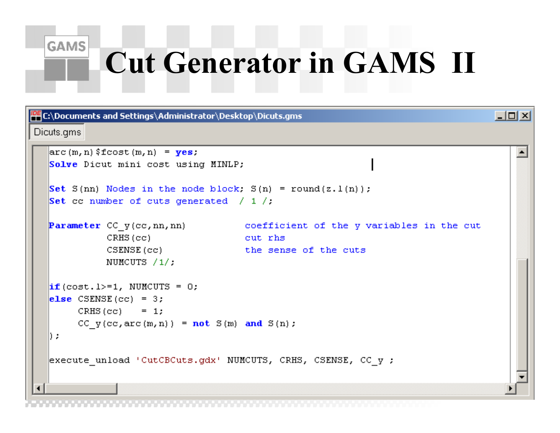#### **GAMS**

### **Cut Generator in GAMS II**

 $|$ o $|$  $\times$  $|$ 

**PHC:\Documents and Settings\Administrator\Desktop\Dicuts.gms** 

#### Dicuts.ams

```
\left|\arctan\left(m,n\right)\right| (figure \left(m,n\right) = \left|\mathbf{yes}\right|)
Solve Dicut mini cost using MINLP;
Set S(nn) Nodes in the node block; S(n) = round(z, l(n));
Set co number of cuts generated / 1 /:
Parameter CC y (cc, nn, nn) coefficient of the y variables in the cut
           CRHS (cc)
                                       cut rhs
           CSENSE (cc)the sense of the cuts
           NUMCUTS /1/;
\|if (cost.1>=1, NUMCUTS = 0;
\text{else} CSENSE(cc) = 3;
     CRHS(cc) = 1;
     CC y(cc, arc(m, n)) = not S(m) and S(n);
D a
execute unload 'CutCBCuts.gdx' NUMCUTS, CRHS, CSENSE, CC y ;
```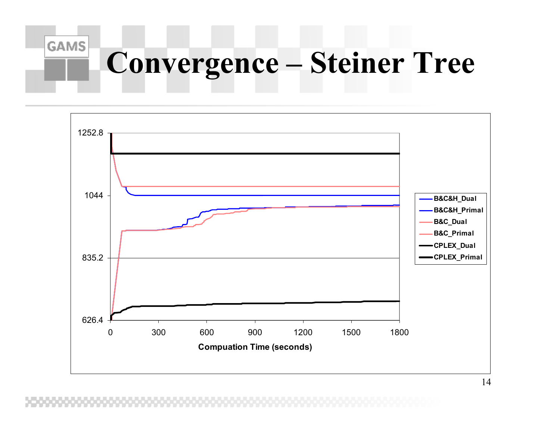#### **GAMS Convergence – Steiner Tree**

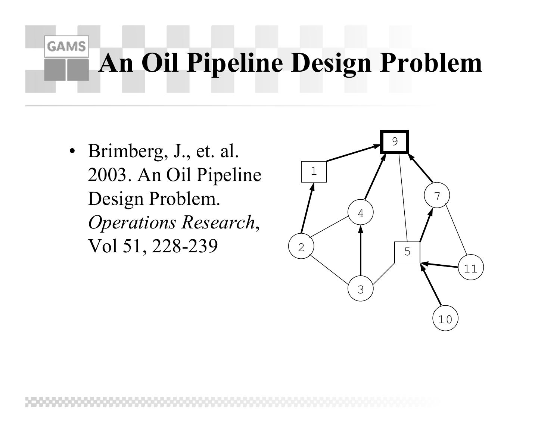## **An Oil Pipeline Design Problem**

• Brimberg, J., et. al. 2003. An Oil Pipeline Design Problem. *Operations Research*, Vol 51, 228-239

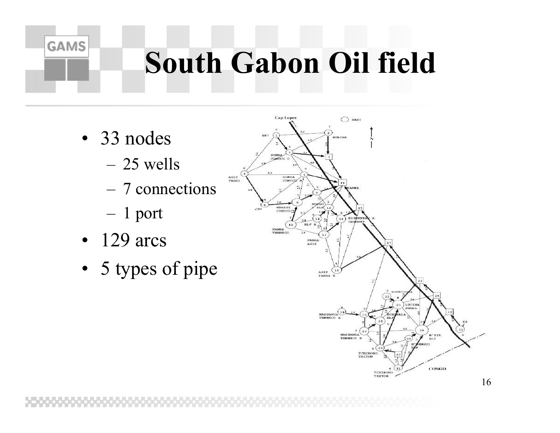# **South Gabon Oil field**

• 33 nodes

**GAMS** 

- 25 wells
- 7 connections

AGIP

 $n \times n \times n$ 

- 1 port
- 129 arcs
- 5 types of pipe

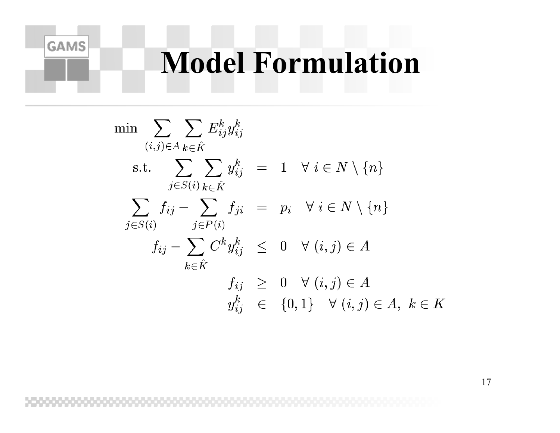### **Model Formulation**

$$
\min \sum_{(i,j)\in A} \sum_{k\in \hat{K}} E_{ij}^{k} y_{ij}^{k}
$$
\n
$$
\text{s.t.} \sum_{j\in S(i)} \sum_{k\in \hat{K}} y_{ij}^{k} = 1 \quad \forall \ i \in N \setminus \{n\}
$$
\n
$$
\sum_{j\in S(i)} f_{ij} - \sum_{j\in P(i)} f_{ji} = p_i \quad \forall \ i \in N \setminus \{n\}
$$
\n
$$
f_{ij} - \sum_{k\in \hat{K}} C^{k} y_{ij}^{k} \leq 0 \quad \forall \ (i,j) \in A
$$
\n
$$
f_{ij} \geq 0 \quad \forall \ (i,j) \in A
$$
\n
$$
y_{ij}^{k} \in \{0,1\} \quad \forall \ (i,j) \in A, \ k \in K
$$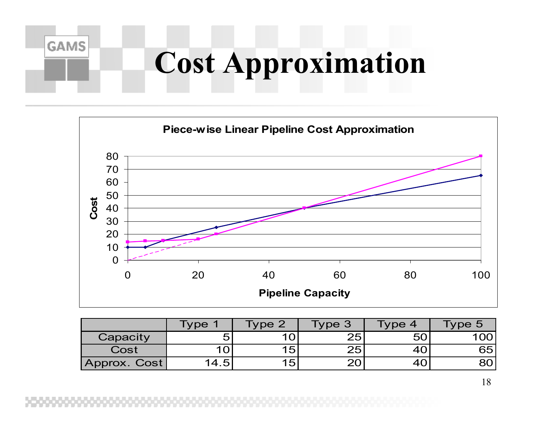# **Cost Approximation**



|              | <b>Type</b> | Type 2 | Type 3' | Гуре 4 | ype 5 |
|--------------|-------------|--------|---------|--------|-------|
| Capacity     | 5           |        | 25      | 50     |       |
| Cost         |             | 15     | 25'     |        | 65    |
| Approx. Cost | 14.5        | 15     |         |        |       |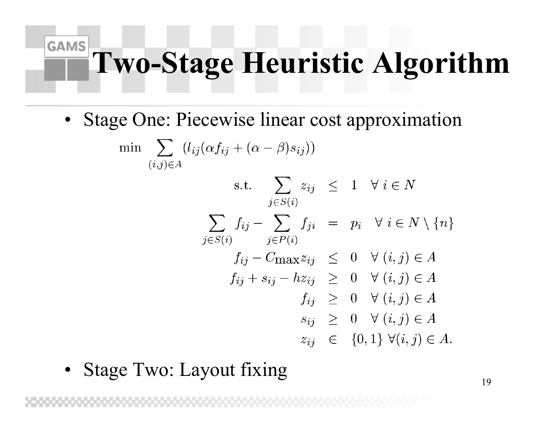### **GAMS Two-Stage Heuristic Algorithm**

•Stage One: Piecewise linear cost approximation

$$
\min \sum_{(i,j)\in A} (l_{ij}(\alpha f_{ij} + (\alpha - \beta)s_{ij}))
$$
\n
$$
\text{s.t.} \sum_{j\in S(i)} z_{ij} \leq 1 \quad \forall \ i \in N
$$
\n
$$
\sum_{j\in S(i)} f_{ij} - \sum_{j\in P(i)} f_{ji} = p_i \quad \forall \ i \in N \setminus \{n\}
$$
\n
$$
f_{ij} - C_{\text{max}} z_{ij} \leq 0 \quad \forall \ (i,j) \in A
$$
\n
$$
f_{ij} + s_{ij} - h z_{ij} \geq 0 \quad \forall \ (i,j) \in A
$$
\n
$$
f_{ij} \geq 0 \quad \forall \ (i,j) \in A
$$
\n
$$
s_{ij} \geq 0 \quad \forall \ (i,j) \in A
$$
\n
$$
z_{ij} \in \{0,1\} \forall (i,j) \in A
$$

•Stage Two: Layout fixing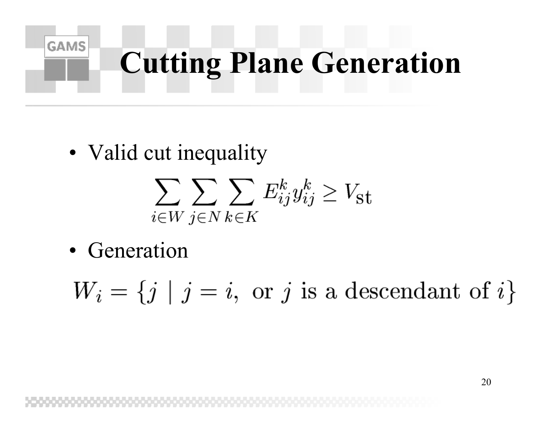# **Cutting Plane Generation**

•• Valid cut inequality

$$
\sum_{i \in W} \sum_{j \in N} \sum_{k \in K} E_{ij}^k y_{ij}^k \ge V_{\text{st}}
$$

• Generation

**GAMS** 

 $W_i = \{j \mid j = i, \text{ or } j \text{ is a descendant of } i\}$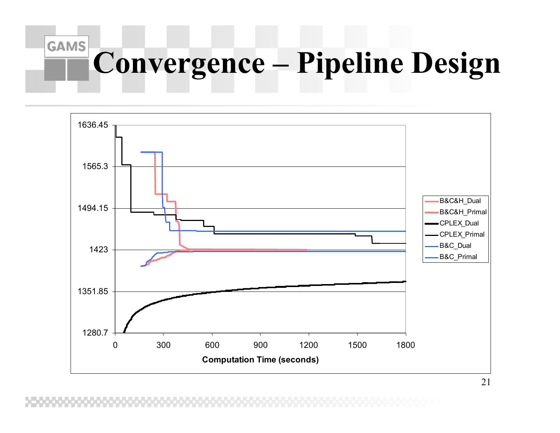### **GAMS Convergence – Pipeline Design**